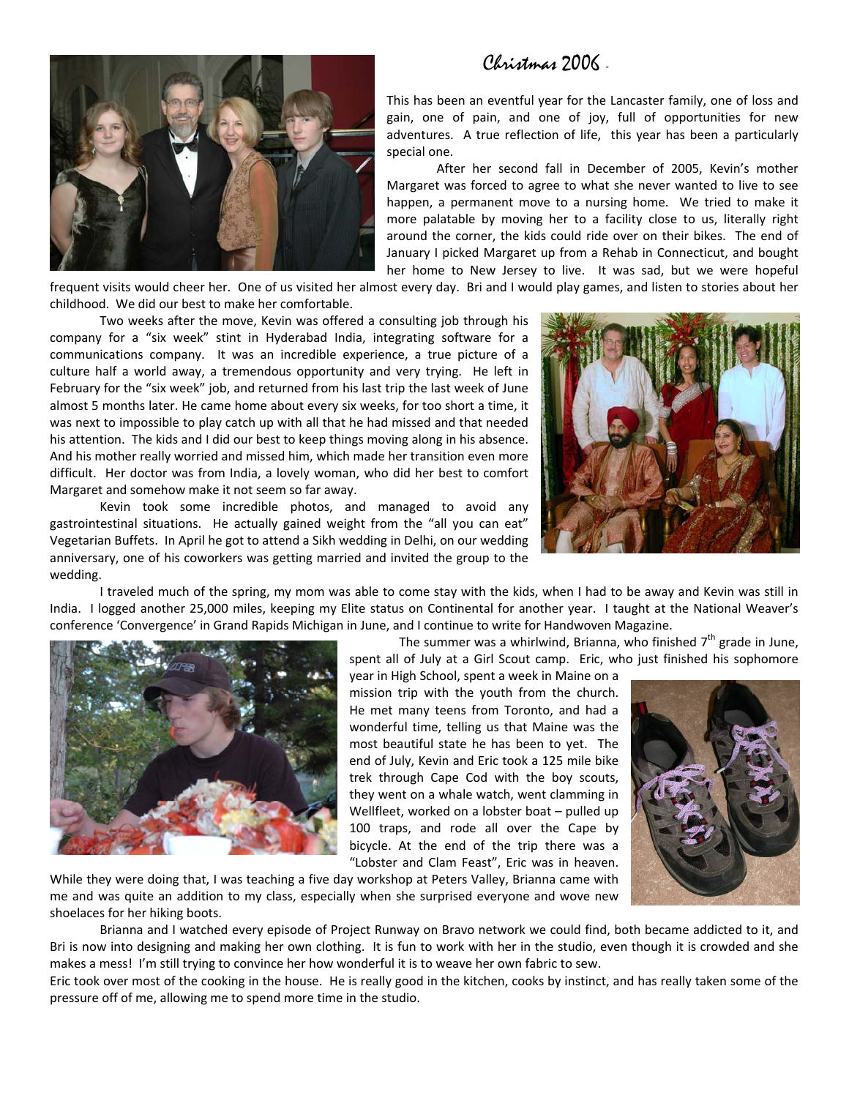## Christmas 2006 -



This has been an eventful year for the Lancaster family, one of loss and gain, one of pain, and one of joy, full of opportunities for new adventures. A true reflection of life, this year has been a particularly special one.

After her second fall in December of 2005, Kevin's mother Margaret was forced to agree to what she never wanted to live to see happen, a permanent move to a nursing home. We tried to make it more palatable by moving her to a facility close to us, literally right around the corner, the kids could ride over on their bikes. The end of January I picked Margaret up from a Rehab in Connecticut, and bought her home to New Jersey to live. It was sad, but we were hopeful

frequent visits would cheer her. One of us visited her almost every day. Bri and I would play games, and listen to stories about her childhood. We did our best to make her comfortable.

Two weeks after the move, Kevin was offered a consulting job through his company for a "six week" stint in Hyderabad India, integrating software for a communications company. It was an incredible experience, a true picture of a culture half a world away, a tremendous opportunity and very trying. He left in February for the "six week" job, and returned from his last trip the last week of June almost 5 months later. He came home about every six weeks, for too short a time, it was next to impossible to play catch up with all that he had missed and that needed his attention. The kids and I did our best to keep things moving along in his absence. And his mother really worried and missed him, which made her transition even more difficult. Her doctor was from India, a lovely woman, who did her best to comfort Margaret and somehow make it not seem so far away.

Kevin took some incredible photos, and managed to avoid any gastrointestinal situations. He actually gained weight from the "all you can eat" Vegetarian Buffets. In April he got to attend a Sikh wedding in Delhi, on our wedding anniversary, one of his coworkers was getting married and invited the group to the wedding.



I traveled much of the spring, my mom was able to come stay with the kids, when I had to be away and Kevin was still in India. I logged another 25,000 miles, keeping my Elite status on Continental for another year. I taught at the National Weaver's conference 'Convergence' in Grand Rapids Michigan in June, and I continue to write for Handwoven Magazine.



The summer was a whirlwind, Brianna, who finished  $7<sup>th</sup>$  grade in June, spent all of July at a Girl Scout camp. Eric, who just finished his sophomore

year in High School, spent a week in Maine on a mission trip with the youth from the church. He met many teens from Toronto, and had a wonderful time, telling us that Maine was the most beautiful state he has been to yet. The end of July, Kevin and Eric took a 125 mile bike trek through Cape Cod with the boy scouts, they went on a whale watch, went clamming in Wellfleet, worked on a lobster boat – pulled up 100 traps, and rode all over the Cape by bicycle. At the end of the trip there was a "Lobster and Clam Feast", Eric was in heaven.



While they were doing that, I was teaching a five day workshop at Peters Valley, Brianna came with me and was quite an addition to my class, especially when she surprised everyone and wove new shoelaces for her hiking boots.

Brianna and I watched every episode of Project Runway on Bravo network we could find, both became addicted to it, and Bri is now into designing and making her own clothing. It is fun to work with her in the studio, even though it is crowded and she makes a mess! I'm still trying to convince her how wonderful it is to weave her own fabric to sew.

Eric took over most of the cooking in the house. He is really good in the kitchen, cooks by instinct, and has really taken some of the pressure off of me, allowing me to spend more time in the studio.